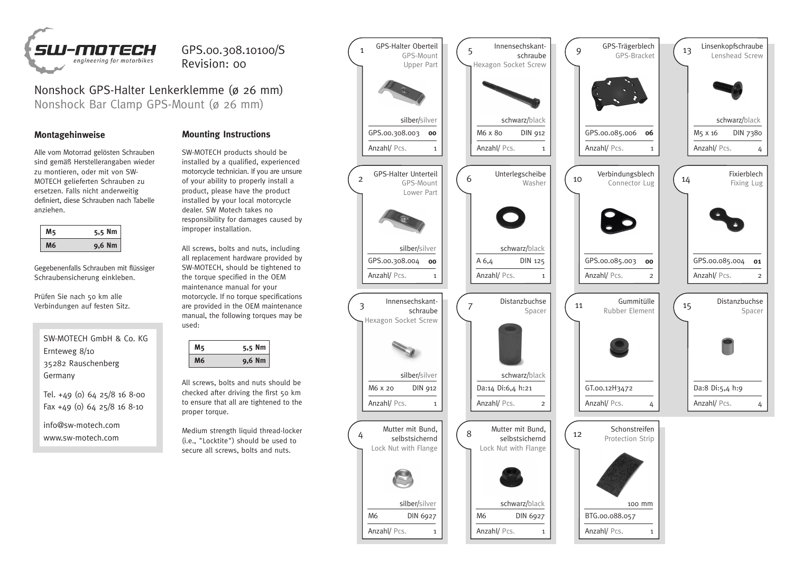

## GPS.00.308.10100/S Revision: 00

Nonshock GPS-Halter Lenkerklemme (ø 26 mm) Nonshock Bar Clamp GPS-Mount (ø 26 mm)

Alle vom Motorrad gelösten Schrauben sind gemäß Herstellerangaben wieder zu montieren, oder mit von SW-MOTECH gelieferten Schrauben zu ersetzen. Falls nicht anderweitig definiert, diese Schrauben nach Tabelle anziehen.

|  | 5,5 Nm   |
|--|----------|
|  | $9,6$ Nm |

Gegebenenfalls Schrauben mit flüssiger Schraubensicherung einkleben.

Prüfen Sie nach 50 km alle Verbindungen auf festen Sitz.

SW-MOTECH GmbH & Co. KG Ernteweg 8/10 35282 Rauschenberg Germany

Tel. +49 (0) 64 25/8 16 8-00 Fax +49 (0) 64 25/8 16 8-10

info@sw-motech.com www.sw-motech.com

## **Montagehinweise Mounting Instructions**

SW-MOTECH products should be installed by a qualified, experienced motorcycle technician. If you are unsure of your ability to properly install a product, please have the product installed by your local motorcycle dealer. SW Motech takes no responsibility for damages caused by improper installation.

All screws, bolts and nuts, including all replacement hardware provided by SW-MOTECH, should be tightened to the torque specified in the OEM maintenance manual for your motorcycle. If no torque specifications are provided in the OEM maintenance manual, the following torques may be used:

| 5,5 Nm |
|--------|
| 9,6 Nm |

All screws, bolts and nuts should be checked after driving the first 50 km to ensure that all are tightened to the proper torque.

Medium strength liquid thread-locker (i.e., "Locktite") should be used to secure all screws, bolts and nuts.